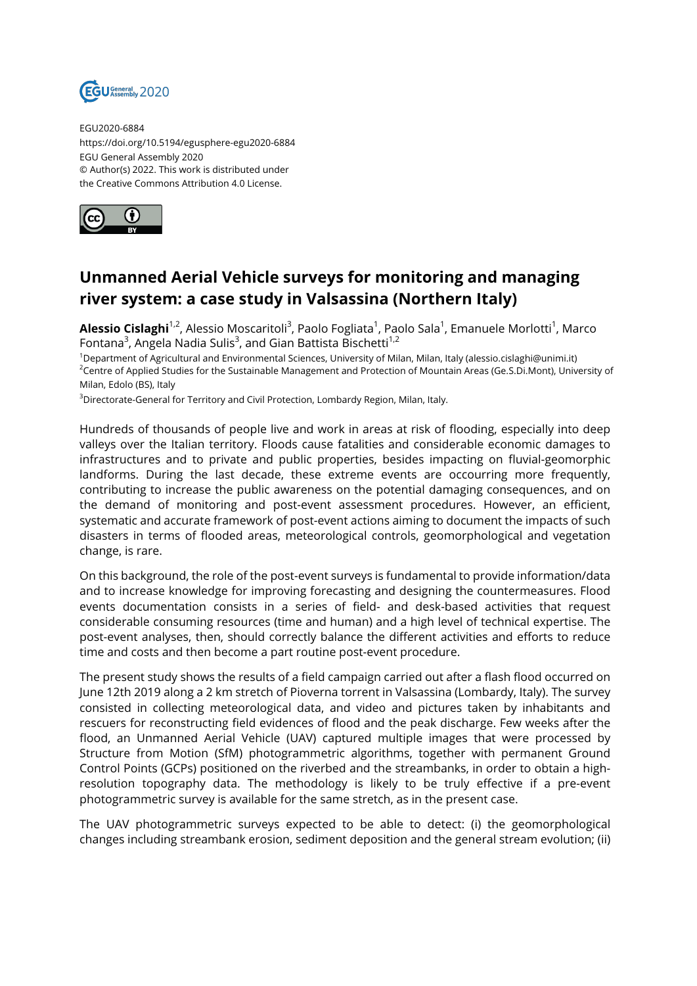

EGU2020-6884 https://doi.org/10.5194/egusphere-egu2020-6884 EGU General Assembly 2020 © Author(s) 2022. This work is distributed under the Creative Commons Attribution 4.0 License.



## **Unmanned Aerial Vehicle surveys for monitoring and managing river system: a case study in Valsassina (Northern Italy)**

**Alessio Cislaghi**<sup>1,2</sup>, Alessio Moscaritoli<sup>3</sup>, Paolo Fogliata<sup>1</sup>, Paolo Sala<sup>1</sup>, Emanuele Morlotti<sup>1</sup>, Marco Fontana $^3$ , Angela Nadia Sulis $^3$ , and Gian Battista Bischetti $^{1,2}$ 

<sup>1</sup>Department of Agricultural and Environmental Sciences, University of Milan, Milan, Italy (alessio.cislaghi@unimi.it) <sup>2</sup>Centre of Applied Studies for the Sustainable Management and Protection of Mountain Areas (Ge.S.Di.Mont), University of Milan, Edolo (BS), Italy

<sup>3</sup>Directorate-General for Territory and Civil Protection, Lombardy Region, Milan, Italy.

Hundreds of thousands of people live and work in areas at risk of flooding, especially into deep valleys over the Italian territory. Floods cause fatalities and considerable economic damages to infrastructures and to private and public properties, besides impacting on fluvial-geomorphic landforms. During the last decade, these extreme events are occourring more frequently, contributing to increase the public awareness on the potential damaging consequences, and on the demand of monitoring and post-event assessment procedures. However, an efficient, systematic and accurate framework of post-event actions aiming to document the impacts of such disasters in terms of flooded areas, meteorological controls, geomorphological and vegetation change, is rare.

On this background, the role of the post-event surveys is fundamental to provide information/data and to increase knowledge for improving forecasting and designing the countermeasures. Flood events documentation consists in a series of field- and desk-based activities that request considerable consuming resources (time and human) and a high level of technical expertise. The post-event analyses, then, should correctly balance the different activities and efforts to reduce time and costs and then become a part routine post-event procedure.

The present study shows the results of a field campaign carried out after a flash flood occurred on June 12th 2019 along a 2 km stretch of Pioverna torrent in Valsassina (Lombardy, Italy). The survey consisted in collecting meteorological data, and video and pictures taken by inhabitants and rescuers for reconstructing field evidences of flood and the peak discharge. Few weeks after the flood, an Unmanned Aerial Vehicle (UAV) captured multiple images that were processed by Structure from Motion (SfM) photogrammetric algorithms, together with permanent Ground Control Points (GCPs) positioned on the riverbed and the streambanks, in order to obtain a highresolution topography data. The methodology is likely to be truly effective if a pre-event photogrammetric survey is available for the same stretch, as in the present case.

The UAV photogrammetric surveys expected to be able to detect: (i) the geomorphological changes including streambank erosion, sediment deposition and the general stream evolution; (ii)